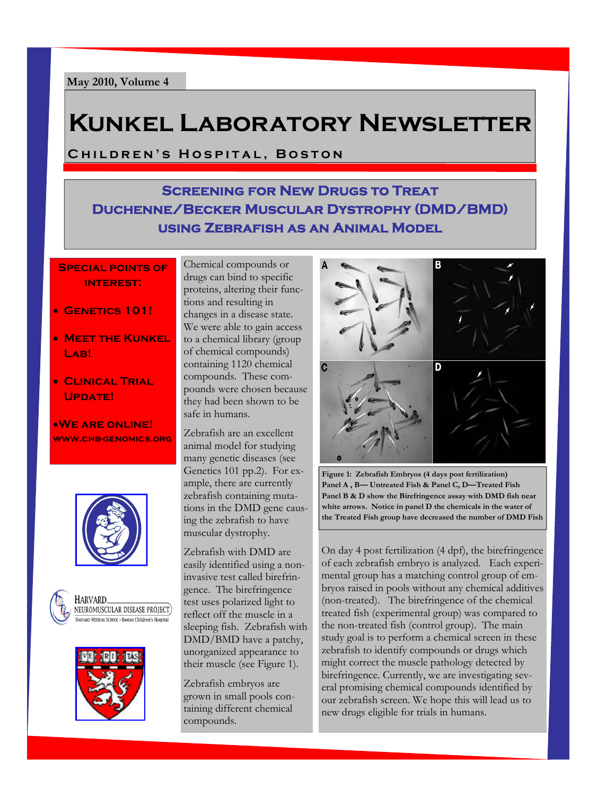# **Kunkel Laboratory Newsletter**

**Children's Hospital, Boston** 

### **Screening for New Drugs to Treat Duchenne/Becker Muscular Dystrophy (DMD/BMD) using Zebrafish as an Animal Model**

#### **Special points of interest:**

- **Genetics 101!**
- **MEET THE KUNKEL** LAB!
- **Clinical Trial Update!**

**We are online! www.chb-genomics.org**







Chemical compounds or drugs can bind to specific proteins, altering their functions and resulting in changes in a disease state. We were able to gain access to a chemical library (group of chemical compounds) containing 1120 chemical compounds. These compounds were chosen because they had been shown to be safe in humans.

Zebrafish are an excellent animal model for studying many genetic diseases (see Genetics 101 pp.2). For example, there are currently zebrafish containing mutations in the DMD gene causing the zebrafish to have muscular dystrophy.

Zebrafish with DMD are easily identified using a noninvasive test called birefringence. The birefringence test uses polarized light to reflect off the muscle in a sleeping fish. Zebrafish with DMD/BMD have a patchy, unorganized appearance to their muscle (see Figure 1).

Zebrafish embryos are grown in small pools containing different chemical compounds.



**Figure 1: Zebrafish Embryos (4 days post fertilization) Panel A , B— Untreated Fish & Panel C, D—Treated Fish Panel B & D show the Birefringence assay with DMD fish near white arrows. Notice in panel D the chemicals in the water of the Treated Fish group have decreased the number of DMD Fish** 

On day 4 post fertilization (4 dpf), the birefringence of each zebrafish embryo is analyzed. Each experimental group has a matching control group of embryos raised in pools without any chemical additives (non-treated). The birefringence of the chemical treated fish (experimental group) was compared to the non-treated fish (control group). The main study goal is to perform a chemical screen in these zebrafish to identify compounds or drugs which might correct the muscle pathology detected by birefringence. Currently, we are investigating several promising chemical compounds identified by our zebrafish screen. We hope this will lead us to new drugs eligible for trials in humans.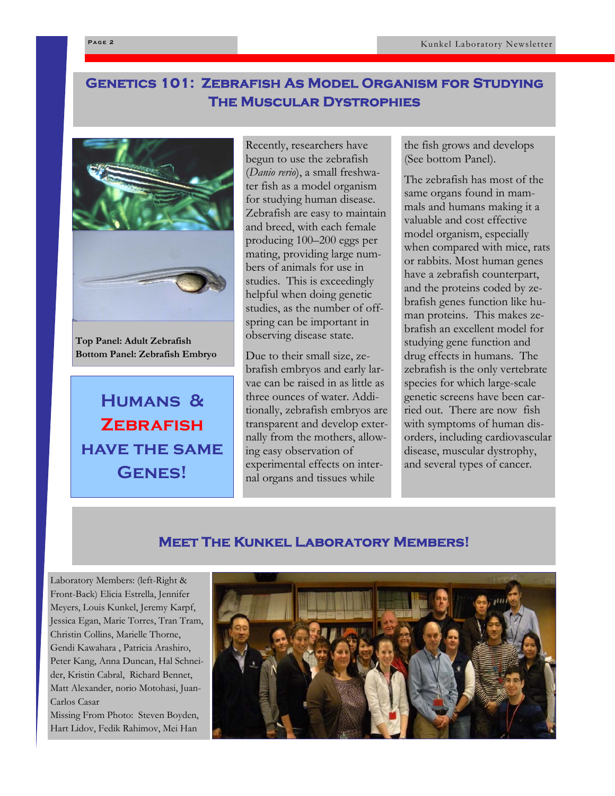### **Genetics 101: Zebrafish As Model Organism for Studying The Muscular Dystrophies**



**Top Panel: Adult Zebrafish Bottom Panel: Zebrafish Embryo** 

**Humans & Zebrafish have the same Genes!** 

Recently, researchers have begun to use the zebrafish (*Danio rerio*), a small freshwater fish as a model organism for studying human disease. Zebrafish are easy to maintain and breed, with each female producing 100–200 eggs per mating, providing large numbers of animals for use in studies. This is exceedingly helpful when doing genetic studies, as the number of offspring can be important in observing disease state.

Due to their small size, zebrafish embryos and early larvae can be raised in as little as three ounces of water. Additionally, zebrafish embryos are transparent and develop externally from the mothers, allowing easy observation of experimental effects on internal organs and tissues while

the fish grows and develops (See bottom Panel).

The zebrafish has most of the same organs found in mammals and humans making it a valuable and cost effective model organism, especially when compared with mice, rats or rabbits. Most human genes have a zebrafish counterpart, and the proteins coded by zebrafish genes function like human proteins. This makes zebrafish an excellent model for studying gene function and drug effects in humans. The zebrafish is the only vertebrate species for which large-scale genetic screens have been carried out. There are now fish with symptoms of human disorders, including cardiovascular disease, muscular dystrophy, and several types of cancer.

#### **Meet The Kunkel Laboratory Members!**

Laboratory Members: (left-Right & Front-Back) Elicia Estrella, Jennifer Meyers, Louis Kunkel, Jeremy Karpf, Jessica Egan, Marie Torres, Tran Tram, Christin Collins, Marielle Thorne, Gendi Kawahara , Patricia Arashiro, Peter Kang, Anna Duncan, Hal Schneider, Kristin Cabral, Richard Bennet, Matt Alexander, norio Motohasi, Juan-Carlos Casar Missing From Photo: Steven Boyden, Hart Lidov, Fedik Rahimov, Mei Han

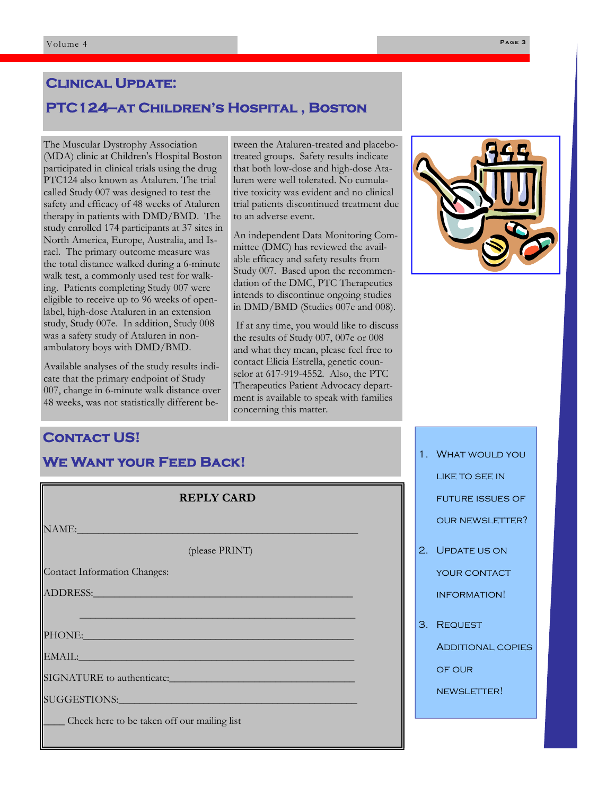# **Clinical Update: PTC124—at Children's Hospital , Boston**

The Muscular Dystrophy Association (MDA) clinic at Children's Hospital Boston participated in clinical trials using the drug PTC124 also known as Ataluren. The trial called Study 007 was designed to test the safety and efficacy of 48 weeks of Ataluren therapy in patients with DMD/BMD. The study enrolled 174 participants at 37 sites in North America, Europe, Australia, and Israel. The primary outcome measure was the total distance walked during a 6-minute walk test, a commonly used test for walking. Patients completing Study 007 were eligible to receive up to 96 weeks of openlabel, high-dose Ataluren in an extension study, Study 007e. In addition, Study 008 was a safety study of Ataluren in nonambulatory boys with DMD/BMD.

Available analyses of the study results indicate that the primary endpoint of Study 007, change in 6-minute walk distance over 48 weeks, was not statistically different between the Ataluren-treated and placebotreated groups. Safety results indicate that both low-dose and high-dose Ataluren were well tolerated. No cumulative toxicity was evident and no clinical trial patients discontinued treatment due to an adverse event.

An independent Data Monitoring Committee (DMC) has reviewed the available efficacy and safety results from Study 007. Based upon the recommendation of the DMC, PTC Therapeutics intends to discontinue ongoing studies in DMD/BMD (Studies 007e and 008).

 If at any time, you would like to discuss the results of Study 007, 007e or 008 and what they mean, please feel free to contact Elicia Estrella, genetic counselor at 617-919-4552. Also, the PTC Therapeutics Patient Advocacy department is available to speak with families concerning this matter.



## **Contact US! We Want your Feed Back!** 1. What would you

| <b>REPLY CARD</b>                           |
|---------------------------------------------|
| NAME:                                       |
| (please PRINT)                              |
| Contact Information Changes:                |
|                                             |
|                                             |
| PHONE: PHONE                                |
| EMAIL: EMAIL:                               |
| SIGNATURE to authenticate:                  |
| SUGGESTIONS:__________________              |
| Check here to be taken off our mailing list |

like to see in future issues of our newsletter?

- 2. Update us on YOUR CONTACT information!
- 3. Request

**ADDITIONAL COPIES** 

of our

newsletter!